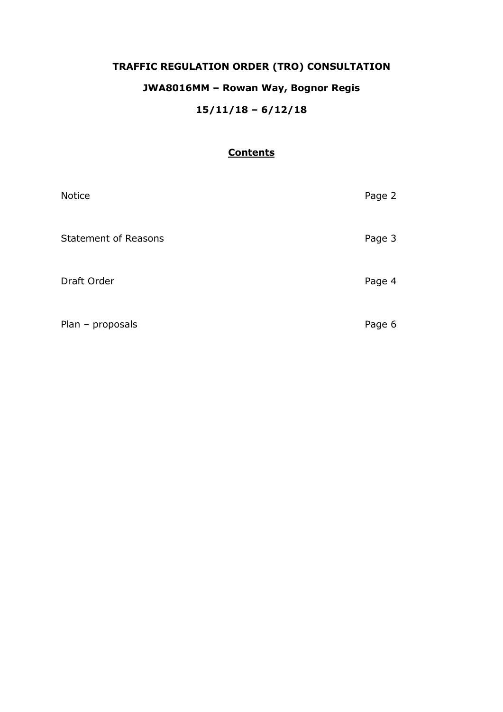# **TRAFFIC REGULATION ORDER (TRO) CONSULTATION**

# **JWA8016MM – Rowan Way, Bognor Regis**

# **15/11/18 – 6/12/18**

# **Contents**

| <b>Notice</b>               | Page 2 |
|-----------------------------|--------|
| <b>Statement of Reasons</b> | Page 3 |
| Draft Order                 | Page 4 |
| Plan - proposals            | Page 6 |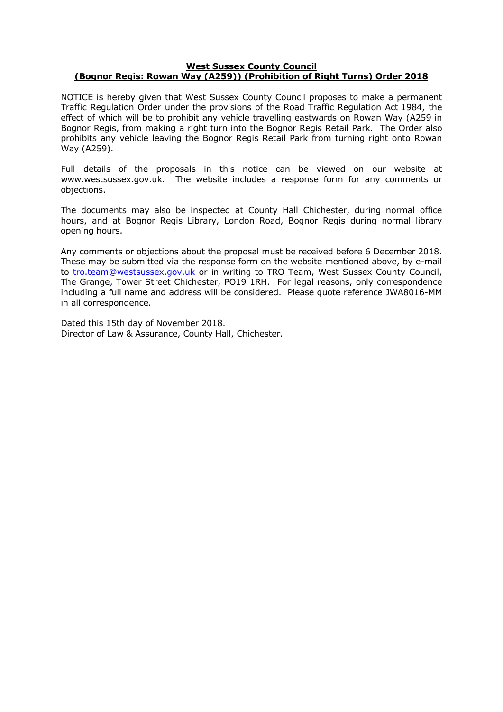### **West Sussex County Council (Bognor Regis: Rowan Way (A259)) (Prohibition of Right Turns) Order 2018**

NOTICE is hereby given that West Sussex County Council proposes to make a permanent Traffic Regulation Order under the provisions of the Road Traffic Regulation Act 1984, the effect of which will be to prohibit any vehicle travelling eastwards on Rowan Way (A259 in Bognor Regis, from making a right turn into the Bognor Regis Retail Park. The Order also prohibits any vehicle leaving the Bognor Regis Retail Park from turning right onto Rowan Way (A259).

Full details of the proposals in this notice can be viewed on our website at www.westsussex.gov.uk. The website includes a response form for any comments or objections.

The documents may also be inspected at County Hall Chichester, during normal office hours, and at Bognor Regis Library, London Road, Bognor Regis during normal library opening hours.

Any comments or objections about the proposal must be received before 6 December 2018. These may be submitted via the response form on the website mentioned above, by e-mail to [tro.team@westsussex.gov.uk](mailto:tro.team@westsussex.gov.uk) or in writing to TRO Team, West Sussex County Council, The Grange, Tower Street Chichester, PO19 1RH. For legal reasons, only correspondence including a full name and address will be considered. Please quote reference JWA8016-MM in all correspondence.

Dated this 15th day of November 2018. Director of Law & Assurance, County Hall, Chichester.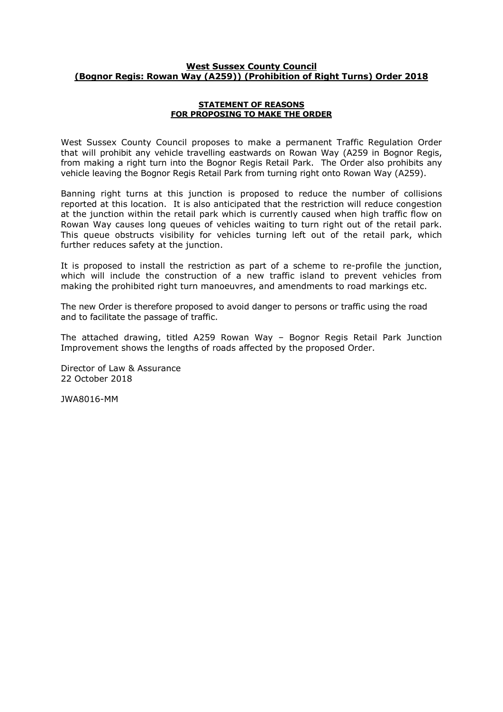## **West Sussex County Council (Bognor Regis: Rowan Way (A259)) (Prohibition of Right Turns) Order 2018**

#### **STATEMENT OF REASONS FOR PROPOSING TO MAKE THE ORDER**

West Sussex County Council proposes to make a permanent Traffic Regulation Order that will prohibit any vehicle travelling eastwards on Rowan Way (A259 in Bognor Regis, from making a right turn into the Bognor Regis Retail Park. The Order also prohibits any vehicle leaving the Bognor Regis Retail Park from turning right onto Rowan Way (A259).

Banning right turns at this junction is proposed to reduce the number of collisions reported at this location. It is also anticipated that the restriction will reduce congestion at the junction within the retail park which is currently caused when high traffic flow on Rowan Way causes long queues of vehicles waiting to turn right out of the retail park. This queue obstructs visibility for vehicles turning left out of the retail park, which further reduces safety at the junction.

It is proposed to install the restriction as part of a scheme to re-profile the junction, which will include the construction of a new traffic island to prevent vehicles from making the prohibited right turn manoeuvres, and amendments to road markings etc.

The new Order is therefore proposed to avoid danger to persons or traffic using the road and to facilitate the passage of traffic.

The attached drawing, titled A259 Rowan Way – Bognor Regis Retail Park Junction Improvement shows the lengths of roads affected by the proposed Order.

Director of Law & Assurance 22 October 2018

JWA8016-MM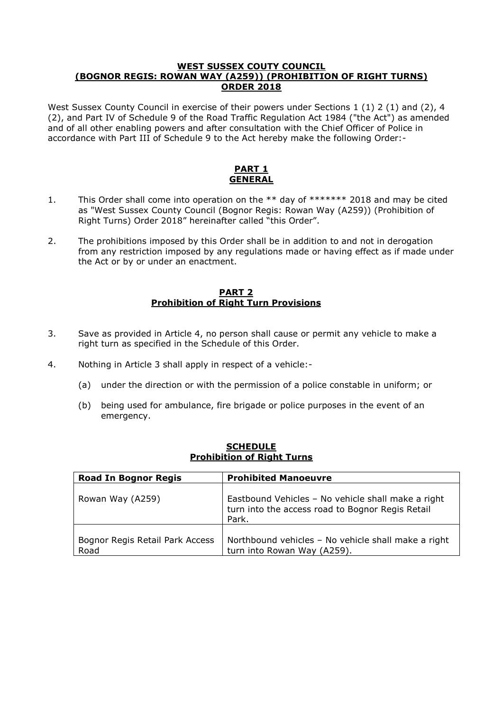# **WEST SUSSEX COUTY COUNCIL (BOGNOR REGIS: ROWAN WAY (A259)) (PROHIBITION OF RIGHT TURNS) ORDER 2018**

West Sussex County Council in exercise of their powers under Sections 1 (1) 2 (1) and (2), 4 (2), and Part IV of Schedule 9 of the Road Traffic Regulation Act 1984 ("the Act") as amended and of all other enabling powers and after consultation with the Chief Officer of Police in accordance with Part III of Schedule 9 to the Act hereby make the following Order:-

# **PART 1 GENERAL**

- 1. This Order shall come into operation on the \*\* day of \*\*\*\*\*\*\* 2018 and may be cited as "West Sussex County Council (Bognor Regis: Rowan Way (A259)) (Prohibition of Right Turns) Order 2018" hereinafter called "this Order".
- 2. The prohibitions imposed by this Order shall be in addition to and not in derogation from any restriction imposed by any regulations made or having effect as if made under the Act or by or under an enactment.

# **PART 2 Prohibition of Right Turn Provisions**

- 3. Save as provided in Article 4, no person shall cause or permit any vehicle to make a right turn as specified in the Schedule of this Order.
- 4. Nothing in Article 3 shall apply in respect of a vehicle:-
	- (a) under the direction or with the permission of a police constable in uniform; or
	- (b) being used for ambulance, fire brigade or police purposes in the event of an emergency.

| <b>Road In Bognor Regis</b>             | <b>Prohibited Manoeuvre</b>                                                                                     |
|-----------------------------------------|-----------------------------------------------------------------------------------------------------------------|
| Rowan Way (A259)                        | Eastbound Vehicles - No vehicle shall make a right<br>turn into the access road to Bognor Regis Retail<br>Park. |
| Bognor Regis Retail Park Access<br>Road | Northbound vehicles - No vehicle shall make a right<br>turn into Rowan Way (A259).                              |

### **SCHEDULE Prohibition of Right Turns**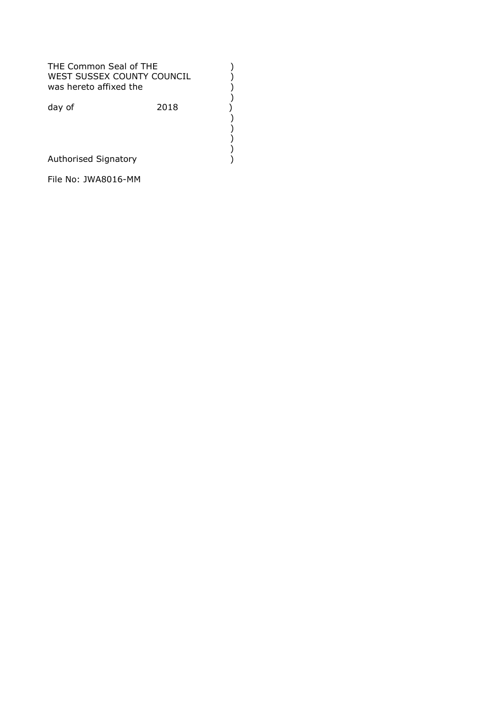THE Common Seal of THE<br>
WEST SUSSEX COUNTY COUNCIL ()<br>
was hereto affixed the ()<br>
day of (2018)<br>
()<br>
()<br>
Authorised Signatory () WEST SUSSEX COUNTY COUNCIL was hereto affixed the ) day of 2018 ) ) ) ) Authorised Signatory )

File No: JWA8016-MM